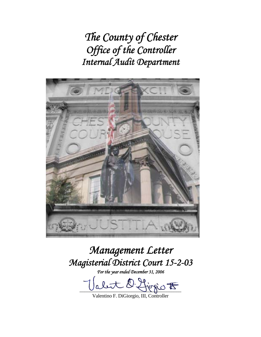*The County of Chester Office of the Controller Internal Audit Department* 



# *Management Letter Magisterial District Court 15-2-03*

*For the year ended December 31, 2006* 

O. Livro F

Valentino F. DiGiorgio, III, Controller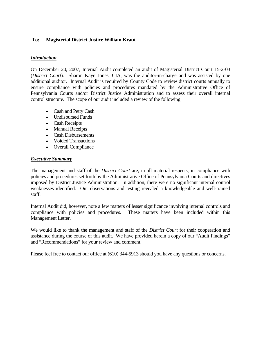# **To: Magisterial District Justice William Kraut**

#### *Introduction*

On December 20, 2007, Internal Audit completed an audit of Magisterial District Court 15-2-03 (*District Court*). Sharon Kaye Jones, CIA, was the auditor-in-charge and was assisted by one additional auditor. Internal Audit is required by County Code to review district courts annually to ensure compliance with policies and procedures mandated by the Administrative Office of Pennsylvania Courts and/or District Justice Administration and to assess their overall internal control structure. The scope of our audit included a review of the following:

- Cash and Petty Cash
- Undisbursed Funds
- Cash Receipts
- Manual Receipts
- Cash Disbursements
- Voided Transactions
- Overall Compliance

#### *Executive Summary*

The management and staff of the *District Court* are, in all material respects, in compliance with policies and procedures set forth by the Administrative Office of Pennsylvania Courts and directives imposed by District Justice Administration. In addition, there were no significant internal control weaknesses identified. Our observations and testing revealed a knowledgeable and well-trained staff.

Internal Audit did, however, note a few matters of lesser significance involving internal controls and compliance with policies and procedures. These matters have been included within this Management Letter.

We would like to thank the management and staff of the *District Court* for their cooperation and assistance during the course of this audit. We have provided herein a copy of our "Audit Findings" and "Recommendations" for your review and comment.

Please feel free to contact our office at (610) 344-5913 should you have any questions or concerns.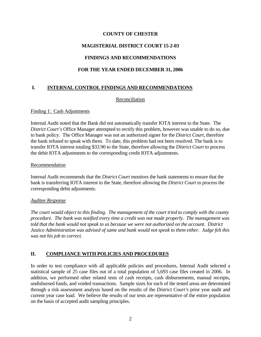# **MAGISTERIAL DISTRICT COURT 15-2-03**

# **FINDINGS AND RECOMMENDATIONS**

# **FOR THE YEAR ENDED DECEMBER 31, 2006**

# **I. INTERNAL CONTROL FINDINGS AND RECOMMENDATIONS**

#### Reconciliation

#### Finding 1: Cash Adjustments

Internal Audit noted that the Bank did not automatically transfer IOTA interest to the State. The *District Court's* Office Manager attempted to rectify this problem, however was unable to do so, due to bank policy. The Office Manager was not an authorized signer for the *District Court*, therefore the bank refused to speak with them. To date, this problem had not been resolved. The bank is to transfer IOTA interest totaling \$33.90 to the State, therefore allowing the *District Court* to process the debit IOTA adjustments to the corresponding credit IOTA adjustments.

#### Recommendation

Internal Audit recommends that the *District Court* monitors the bank statements to ensure that the bank is transferring IOTA interest to the State, therefore allowing the *District Court* to process the corresponding debit adjustments.

#### *Auditee Response*

*The court would object to this finding. The management of the court tried to comply with the county procedure. The bank was notified every time a credit was not made properly. The management was told that the bank would not speak to us because we were not authorized on the account. District Justice Administration was advised of same and bank would not speak to them either. Judge felt this was not his job to correct.* 

# **II. COMPLIANCE WITH POLICIES AND PROCEDURES**

In order to test compliance with all applicable policies and procedures, Internal Audit selected a statistical sample of 25 case files out of a total population of 5,693 case files created in 2006. In addition, we performed other related tests of cash receipts, cash disbursements, manual receipts, undisbursed funds, and voided transactions. Sample sizes for each of the tested areas are determined through a risk assessment analysis based on the results of the *District Court's* prior year audit and current year case load. We believe the results of our tests are representative of the entire population on the basis of accepted audit sampling principles.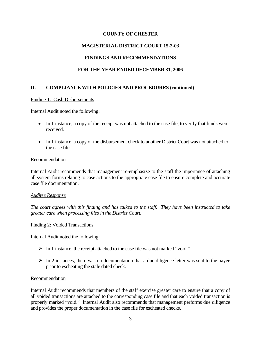# **MAGISTERIAL DISTRICT COURT 15-2-03**

# **FINDINGS AND RECOMMENDATIONS**

# **FOR THE YEAR ENDED DECEMBER 31, 2006**

# **II. COMPLIANCE WITH POLICIES AND PROCEDURES (continued)**

#### Finding 1: Cash Disbursements

Internal Audit noted the following:

- In 1 instance, a copy of the receipt was not attached to the case file, to verify that funds were received.
- In 1 instance, a copy of the disbursement check to another District Court was not attached to the case file.

#### Recommendation

Internal Audit recommends that management re-emphasize to the staff the importance of attaching all system forms relating to case actions to the appropriate case file to ensure complete and accurate case file documentation.

#### *Auditee Response*

*The court agrees with this finding and has talked to the staff. They have been instructed to take greater care when processing files in the District Court.* 

#### Finding 2: Voided Transactions

Internal Audit noted the following:

- $\triangleright$  In 1 instance, the receipt attached to the case file was not marked "void."
- $\triangleright$  In 2 instances, there was no documentation that a due diligence letter was sent to the payee prior to escheating the stale dated check.

#### Recommendation

Internal Audit recommends that members of the staff exercise greater care to ensure that a copy of all voided transactions are attached to the corresponding case file and that each voided transaction is properly marked "void." Internal Audit also recommends that management performs due diligence and provides the proper documentation in the case file for escheated checks.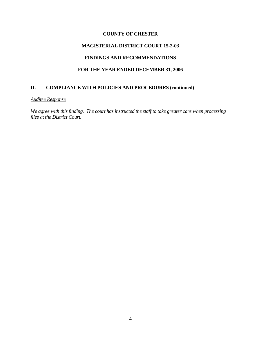## **MAGISTERIAL DISTRICT COURT 15-2-03**

#### **FINDINGS AND RECOMMENDATIONS**

# **FOR THE YEAR ENDED DECEMBER 31, 2006**

# **II. COMPLIANCE WITH POLICIES AND PROCEDURES (continued)**

#### *Auditee Response*

*We agree with this finding. The court has instructed the staff to take greater care when processing files at the District Court.*